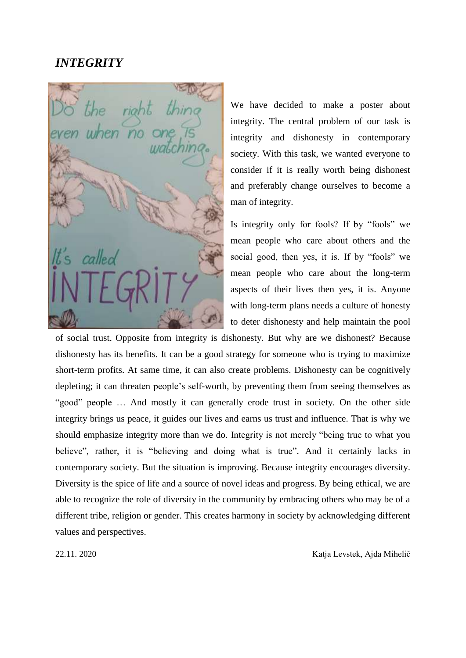## *INTEGRITY*



We have decided to make a poster about integrity. The central problem of our task is integrity and dishonesty in contemporary society. With this task, we wanted everyone to consider if it is really worth being dishonest and preferably change ourselves to become a man of integrity.

Is integrity only for fools? If by "fools" we mean people who care about others and the social good, then yes, it is. If by "fools" we mean people who care about the long-term aspects of their lives then yes, it is. Anyone with long-term plans needs a culture of honesty to deter dishonesty and help maintain the pool

of social trust. Opposite from integrity is dishonesty. But why are we dishonest? Because dishonesty has its benefits. It can be a good strategy for someone who is trying to maximize short-term profits. At same time, it can also create problems. Dishonesty can be cognitively depleting; it can threaten people's self-worth, by preventing them from seeing themselves as "good" people … And mostly it can generally erode trust in society. On the other side integrity brings us peace, it guides our lives and earns us trust and influence. That is why we should emphasize integrity more than we do. Integrity is not merely "being true to what you believe", rather, it is "believing and doing what is true". And it certainly lacks in contemporary society. But the situation is improving. Because integrity encourages diversity. Diversity is the spice of life and a source of novel ideas and progress. By being ethical, we are able to recognize the role of diversity in the community by embracing others who may be of a different tribe, religion or gender. This creates harmony in society by acknowledging different values and perspectives.

22.11. 2020 Katja Levstek, Ajda Mihelič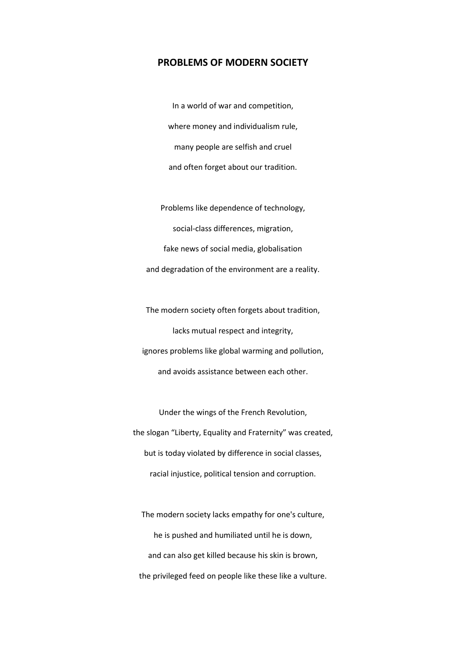## **PROBLEMS OF MODERN SOCIETY**

In a world of war and competition, where money and individualism rule, many people are selfish and cruel and often forget about our tradition.

Problems like dependence of technology, social-class differences, migration, fake news of social media, globalisation and degradation of the environment are a reality.

The modern society often forgets about tradition, lacks mutual respect and integrity, ignores problems like global warming and pollution, and avoids assistance between each other.

Under the wings of the French Revolution, the slogan "Liberty, Equality and Fraternity" was created, but is today violated by difference in social classes, racial injustice, political tension and corruption.

The modern society lacks empathy for one's culture, he is pushed and humiliated until he is down, and can also get killed because his skin is brown, the privileged feed on people like these like a vulture.